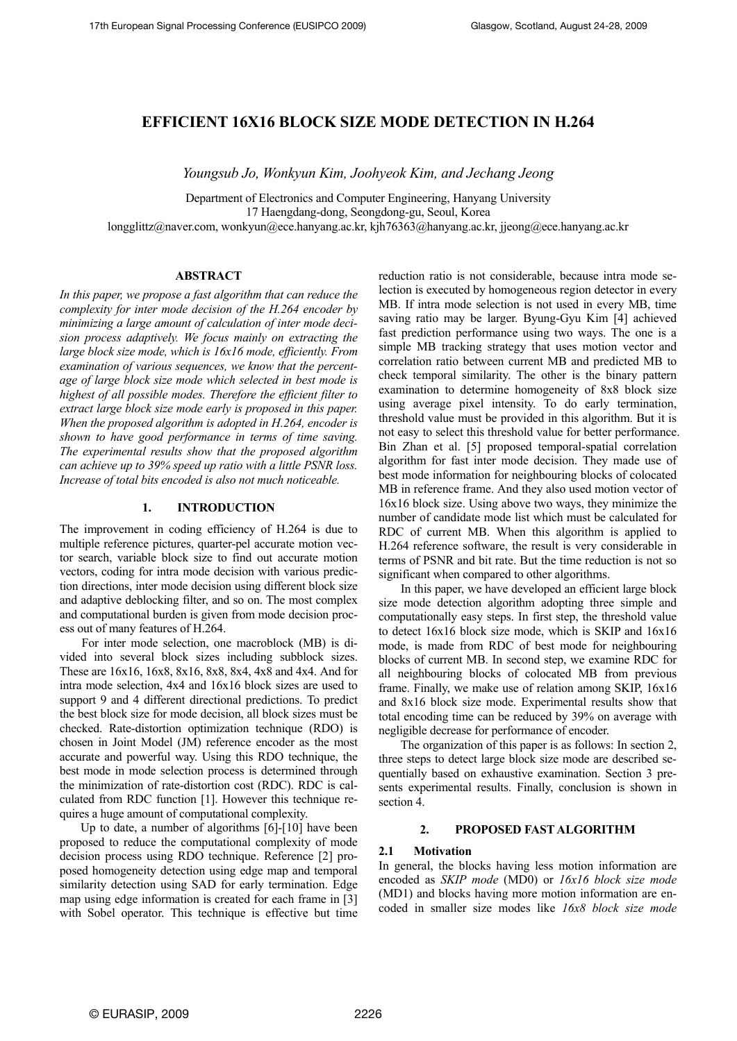# **EFFICIENT 16X16 BLOCK SIZE MODE DETECTION IN H.264**

*Youngsub Jo, Wonkyun Kim, Joohyeok Kim, and Jechang Jeong* 

Department of Electronics and Computer Engineering, Hanyang University 17 Haengdang-dong, Seongdong-gu, Seoul, Korea

longglittz@naver.com, wonkyun@ece.hanyang.ac.kr, kjh76363@hanyang.ac.kr, jjeong@ece.hanyang.ac.kr

### **ABSTRACT**

*In this paper, we propose a fast algorithm that can reduce the complexity for inter mode decision of the H.264 encoder by minimizing a large amount of calculation of inter mode decision process adaptively. We focus mainly on extracting the large block size mode, which is 16x16 mode, efficiently. From examination of various sequences, we know that the percentage of large block size mode which selected in best mode is highest of all possible modes. Therefore the efficient filter to extract large block size mode early is proposed in this paper. When the proposed algorithm is adopted in H.264, encoder is shown to have good performance in terms of time saving. The experimental results show that the proposed algorithm can achieve up to 39% speed up ratio with a little PSNR loss. Increase of total bits encoded is also not much noticeable.* 

#### **1. INTRODUCTION**

The improvement in coding efficiency of H.264 is due to multiple reference pictures, quarter-pel accurate motion vector search, variable block size to find out accurate motion vectors, coding for intra mode decision with various prediction directions, inter mode decision using different block size and adaptive deblocking filter, and so on. The most complex and computational burden is given from mode decision process out of many features of H.264.

For inter mode selection, one macroblock (MB) is divided into several block sizes including subblock sizes. These are 16x16, 16x8, 8x16, 8x8, 8x4, 4x8 and 4x4. And for intra mode selection, 4x4 and 16x16 block sizes are used to support 9 and 4 different directional predictions. To predict the best block size for mode decision, all block sizes must be checked. Rate-distortion optimization technique (RDO) is chosen in Joint Model (JM) reference encoder as the most accurate and powerful way. Using this RDO technique, the best mode in mode selection process is determined through the minimization of rate-distortion cost (RDC). RDC is calculated from RDC function [1]. However this technique requires a huge amount of computational complexity.

Up to date, a number of algorithms [6]-[10] have been proposed to reduce the computational complexity of mode decision process using RDO technique. Reference [2] proposed homogeneity detection using edge map and temporal similarity detection using SAD for early termination. Edge map using edge information is created for each frame in [3] with Sobel operator. This technique is effective but time

reduction ratio is not considerable, because intra mode selection is executed by homogeneous region detector in every MB. If intra mode selection is not used in every MB, time saving ratio may be larger. Byung-Gyu Kim [4] achieved fast prediction performance using two ways. The one is a simple MB tracking strategy that uses motion vector and correlation ratio between current MB and predicted MB to check temporal similarity. The other is the binary pattern examination to determine homogeneity of 8x8 block size using average pixel intensity. To do early termination, threshold value must be provided in this algorithm. But it is not easy to select this threshold value for better performance. Bin Zhan et al. [5] proposed temporal-spatial correlation algorithm for fast inter mode decision. They made use of best mode information for neighbouring blocks of colocated MB in reference frame. And they also used motion vector of 16x16 block size. Using above two ways, they minimize the number of candidate mode list which must be calculated for RDC of current MB. When this algorithm is applied to H.264 reference software, the result is very considerable in terms of PSNR and bit rate. But the time reduction is not so significant when compared to other algorithms.

In this paper, we have developed an efficient large block size mode detection algorithm adopting three simple and computationally easy steps. In first step, the threshold value to detect 16x16 block size mode, which is SKIP and 16x16 mode, is made from RDC of best mode for neighbouring blocks of current MB. In second step, we examine RDC for all neighbouring blocks of colocated MB from previous frame. Finally, we make use of relation among SKIP, 16x16 and 8x16 block size mode. Experimental results show that total encoding time can be reduced by 39% on average with negligible decrease for performance of encoder.

The organization of this paper is as follows: In section 2, three steps to detect large block size mode are described sequentially based on exhaustive examination. Section 3 presents experimental results. Finally, conclusion is shown in section 4.

## **2. PROPOSED FAST ALGORITHM**

#### **2.1 Motivation**

In general, the blocks having less motion information are encoded as *SKIP mode* (MD0) or *16x16 block size mode* (MD1) and blocks having more motion information are encoded in smaller size modes like *16x8 block size mode*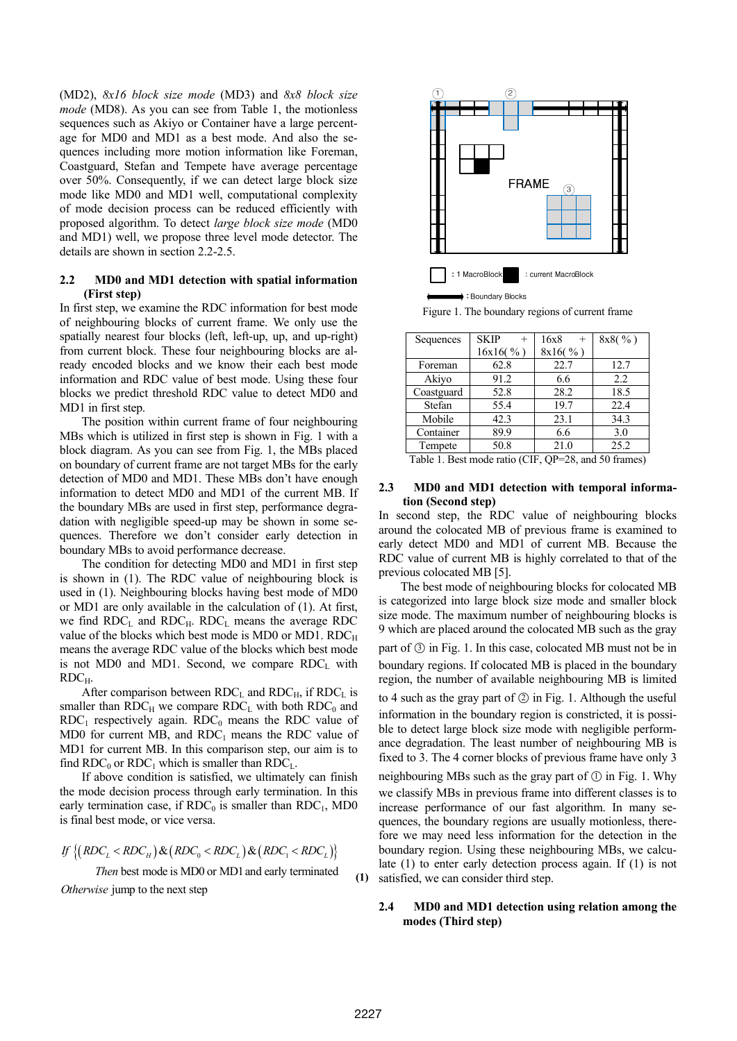(MD2), *8x16 block size mode* (MD3) and *8x8 block size mode* (MD8). As you can see from Table 1, the motionless sequences such as Akiyo or Container have a large percentage for MD0 and MD1 as a best mode. And also the sequences including more motion information like Foreman, Coastguard, Stefan and Tempete have average percentage over 50%. Consequently, if we can detect large block size mode like MD0 and MD1 well, computational complexity of mode decision process can be reduced efficiently with proposed algorithm. To detect *large block size mode* (MD0 and MD1) well, we propose three level mode detector. The details are shown in section 2.2-2.5.

## **2.2 MD0 and MD1 detection with spatial information (First step)**

In first step, we examine the RDC information for best mode of neighbouring blocks of current frame. We only use the spatially nearest four blocks (left, left-up, up, and up-right) from current block. These four neighbouring blocks are already encoded blocks and we know their each best mode information and RDC value of best mode. Using these four blocks we predict threshold RDC value to detect MD0 and MD1 in first step.

The position within current frame of four neighbouring MBs which is utilized in first step is shown in Fig. 1 with a block diagram. As you can see from Fig. 1, the MBs placed on boundary of current frame are not target MBs for the early detection of MD0 and MD1. These MBs don't have enough information to detect MD0 and MD1 of the current MB. If the boundary MBs are used in first step, performance degradation with negligible speed-up may be shown in some sequences. Therefore we don't consider early detection in boundary MBs to avoid performance decrease.

The condition for detecting MD0 and MD1 in first step is shown in (1). The RDC value of neighbouring block is used in (1). Neighbouring blocks having best mode of MD0 or MD1 are only available in the calculation of (1). At first, we find  $RDC<sub>L</sub>$  and  $RDC<sub>H</sub>$ .  $RDC<sub>L</sub>$  means the average RDC value of the blocks which best mode is MD0 or MD1. RDCH means the average RDC value of the blocks which best mode is not MD0 and MD1. Second, we compare  $RDC<sub>L</sub>$  with  $RDC_H$ .

After comparison between  $RDC<sub>L</sub>$  and  $RDC<sub>H</sub>$ , if  $RDC<sub>L</sub>$  is smaller than  $RDC_H$  we compare  $RDC_L$  with both  $RDC_0$  and  $RDC<sub>1</sub>$  respectively again.  $RDC<sub>0</sub>$  means the RDC value of MD0 for current MB, and  $RDC<sub>1</sub>$  means the RDC value of MD1 for current MB. In this comparison step, our aim is to find RDC<sub>0</sub> or RDC<sub>1</sub> which is smaller than RDC<sub>L</sub>.

If above condition is satisfied, we ultimately can finish the mode decision process through early termination. In this early termination case, if  $RDC_0$  is smaller than  $RDC_1$ , MD0 is final best mode, or vice versa.

$$
If \{(RDC_{L} < RDC_{H}) \& (RDC_{0} < RDC_{L}) \& (RDC_{1} < RDC_{L})\}
$$

Then best mode is MD0 or MD1 and early terminated Otherwise jump to the next step



Figure 1. The boundary regions of current frame

| Sequences  | <b>SKIP</b> | 16x8<br>$^{+}$ | 8x8( %) |
|------------|-------------|----------------|---------|
|            | 16x16( %)   | 8x16(%)        |         |
| Foreman    | 62.8        | 22.7           | 12.7    |
| Akiyo      | 91.2        | 6.6            | 2.2     |
| Coastguard | 52.8        | 28.2           | 18.5    |
| Stefan     | 55.4        | 19.7           | 22.4    |
| Mobile     | 42.3        | 23.1           | 34.3    |
| Container  | 89.9        | 6.6            | 3.0     |
| Tempete    | 50.8        | 21.0           | 25.2    |

Table 1. Best mode ratio (CIF, QP=28, and 50 frames)

## **2.3 MD0 and MD1 detection with temporal information (Second step)**

In second step, the RDC value of neighbouring blocks around the colocated MB of previous frame is examined to early detect MD0 and MD1 of current MB. Because the RDC value of current MB is highly correlated to that of the previous colocated MB [5].

The best mode of neighbouring blocks for colocated MB is categorized into large block size mode and smaller block size mode. The maximum number of neighbouring blocks is 9 which are placed around the colocated MB such as the gray part of  $\circled{3}$  in Fig. 1. In this case, colocated MB must not be in boundary regions. If colocated MB is placed in the boundary

to 4 such as the gray part of  $\circled{2}$  in Fig. 1. Although the useful information in the boundary region is constricted, it is possible to detect large block size mode with negligible performance degradation. The least number of neighbouring MB is fixed to 3. The 4 corner blocks of previous frame have only 3

region, the number of available neighbouring MB is limited

neighbouring MBs such as the gray part of  $\circled{1}$  in Fig. 1. Why we classify MBs in previous frame into different classes is to increase performance of our fast algorithm. In many sequences, the boundary regions are usually motionless, therefore we may need less information for the detection in the boundary region. Using these neighbouring MBs, we calculate (1) to enter early detection process again. If (1) is not satisfied, we can consider third step.

## **2.4 MD0 and MD1 detection using relation among the modes (Third step)**

**(1)**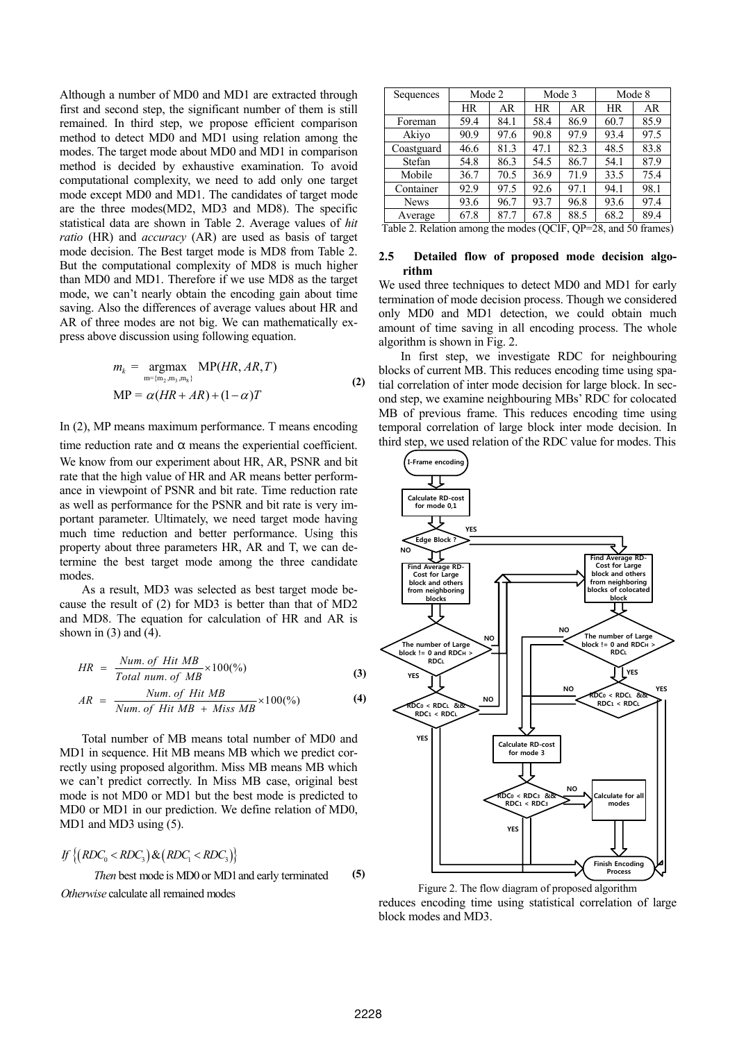Although a number of MD0 and MD1 are extracted through first and second step, the significant number of them is still remained. In third step, we propose efficient comparison method to detect MD0 and MD1 using relation among the modes. The target mode about MD0 and MD1 in comparison method is decided by exhaustive examination. To avoid computational complexity, we need to add only one target mode except MD0 and MD1. The candidates of target mode are the three modes(MD2, MD3 and MD8). The specific statistical data are shown in Table 2. Average values of *hit ratio* (HR) and *accuracy* (AR) are used as basis of target mode decision. The Best target mode is MD8 from Table 2. But the computational complexity of MD8 is much higher than MD0 and MD1. Therefore if we use MD8 as the target mode, we can't nearly obtain the encoding gain about time saving. Also the differences of average values about HR and AR of three modes are not big. We can mathematically express above discussion using following equation.

$$
m_k = \underset{\mathbf{m} = \{ \mathbf{m}_2, \mathbf{m}_3, \mathbf{m}_8 \}}{\text{argmax}} \text{MP}(HR, AR, T)
$$
  
MP =  $\alpha(HR + AR) + (1 - \alpha)T$  (2)

#### In (2), MP means maximum performance. T means encoding

time reduction rate and  $\alpha$  means the experiential coefficient. We know from our experiment about HR, AR, PSNR and bit rate that the high value of HR and AR means better performance in viewpoint of PSNR and bit rate. Time reduction rate as well as performance for the PSNR and bit rate is very important parameter. Ultimately, we need target mode having much time reduction and better performance. Using this property about three parameters HR, AR and T, we can determine the best target mode among the three candidate modes.

As a result, MD3 was selected as best target mode because the result of (2) for MD3 is better than that of MD2 and MD8. The equation for calculation of HR and AR is shown in  $(3)$  and  $(4)$ .

$$
HR = \frac{Num. \ of \ Hit \ MB}{Total \ num. \ of \ MB} \times 100\%
$$
 (3)

$$
AR = \frac{Num. \ of \ Hit \ MB}{Num. \ of \ Hit \ MB + Miss \ MB} \times 100\binom{0}{0}
$$
 (4)

Total number of MB means total number of MD0 and MD1 in sequence. Hit MB means MB which we predict correctly using proposed algorithm. Miss MB means MB which we can't predict correctly. In Miss MB case, original best mode is not MD0 or MD1 but the best mode is predicted to MD0 or MD1 in our prediction. We define relation of MD0, MD1 and MD3 using (5).

If 
$$
\{(RDC_0 < RDC_3) \& (RDC_1 < RDC_3)\}
$$
  
\nThen best mode is MDO or MD1 and early terminated  
\nOtherwise calculate all remained modes

| Sequences   | Mode 2    |      | Mode 3 |      | Mode 8 |      |
|-------------|-----------|------|--------|------|--------|------|
|             | <b>HR</b> | AR.  | HR     | AR   | HR     | AR   |
| Foreman     | 59.4      | 84.1 | 58.4   | 86.9 | 60.7   | 85.9 |
| Akiyo       | 90.9      | 97.6 | 90.8   | 97.9 | 93.4   | 97.5 |
| Coastguard  | 46.6      | 81.3 | 47.1   | 82.3 | 48.5   | 83.8 |
| Stefan      | 54.8      | 86.3 | 54.5   | 86.7 | 54.1   | 87.9 |
| Mobile      | 36.7      | 70.5 | 36.9   | 71.9 | 33.5   | 75.4 |
| Container   | 92.9      | 97.5 | 92.6   | 97.1 | 94.1   | 98.1 |
| <b>News</b> | 93.6      | 96.7 | 93.7   | 96.8 | 93.6   | 97.4 |
| Average     | 67.8      | 87.7 | 67.8   | 88.5 | 68.2   | 89.4 |

Table 2. Relation among the modes (QCIF, QP=28, and 50 frames)

#### **2.5 Detailed flow of proposed mode decision algorithm**

We used three techniques to detect MD0 and MD1 for early termination of mode decision process. Though we considered only MD0 and MD1 detection, we could obtain much amount of time saving in all encoding process. The whole algorithm is shown in Fig. 2.

In first step, we investigate RDC for neighbouring blocks of current MB. This reduces encoding time using spatial correlation of inter mode decision for large block. In second step, we examine neighbouring MBs' RDC for colocated MB of previous frame. This reduces encoding time using temporal correlation of large block inter mode decision. In third step, we used relation of the RDC value for modes. This



Figure 2. The flow diagram of proposed algorithm reduces encoding time using statistical correlation of large block modes and MD3.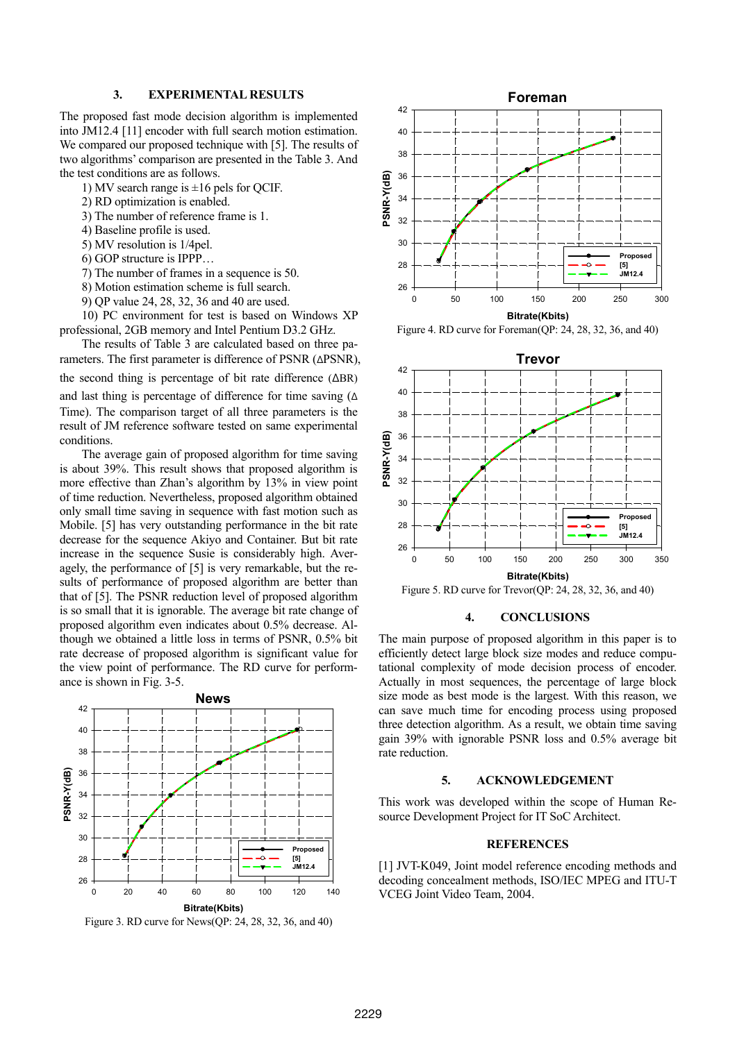## **3. EXPERIMENTAL RESULTS**

The proposed fast mode decision algorithm is implemented into JM12.4 [11] encoder with full search motion estimation. We compared our proposed technique with [5]. The results of two algorithms' comparison are presented in the Table 3. And the test conditions are as follows.

- 1) MV search range is  $\pm 16$  pels for OCIF.
- 2) RD optimization is enabled.
- 3) The number of reference frame is 1.
- 4) Baseline profile is used.
- 5) MV resolution is 1/4pel.
- 6) GOP structure is IPPP…
- 7) The number of frames in a sequence is 50.
- 8) Motion estimation scheme is full search.
- 9) QP value 24, 28, 32, 36 and 40 are used.

10) PC environment for test is based on Windows XP professional, 2GB memory and Intel Pentium D3.2 GHz.

The results of Table 3 are calculated based on three parameters. The first parameter is difference of PSNR (ΔPSNR), the second thing is percentage of bit rate difference (ΔBR) and last thing is percentage of difference for time saving (Δ Time). The comparison target of all three parameters is the result of JM reference software tested on same experimental conditions.

The average gain of proposed algorithm for time saving is about 39%. This result shows that proposed algorithm is more effective than Zhan's algorithm by 13% in view point of time reduction. Nevertheless, proposed algorithm obtained only small time saving in sequence with fast motion such as Mobile. [5] has very outstanding performance in the bit rate decrease for the sequence Akiyo and Container. But bit rate increase in the sequence Susie is considerably high. Averagely, the performance of [5] is very remarkable, but the results of performance of proposed algorithm are better than that of [5]. The PSNR reduction level of proposed algorithm is so small that it is ignorable. The average bit rate change of proposed algorithm even indicates about 0.5% decrease. Although we obtained a little loss in terms of PSNR, 0.5% bit rate decrease of proposed algorithm is significant value for the view point of performance. The RD curve for performance is shown in Fig. 3-5.



Figure 3. RD curve for News(QP: 24, 28, 32, 36, and 40)



Figure 4. RD curve for Foreman(QP: 24, 28, 32, 36, and 40)



Figure 5. RD curve for Trevor(QP: 24, 28, 32, 36, and 40)

#### **4. CONCLUSIONS**

The main purpose of proposed algorithm in this paper is to efficiently detect large block size modes and reduce computational complexity of mode decision process of encoder. Actually in most sequences, the percentage of large block size mode as best mode is the largest. With this reason, we can save much time for encoding process using proposed three detection algorithm. As a result, we obtain time saving gain 39% with ignorable PSNR loss and 0.5% average bit rate reduction.

## **5. ACKNOWLEDGEMENT**

This work was developed within the scope of Human Resource Development Project for IT SoC Architect.

## **REFERENCES**

[1] JVT-K049, Joint model reference encoding methods and decoding concealment methods, ISO/IEC MPEG and ITU-T VCEG Joint Video Team, 2004.